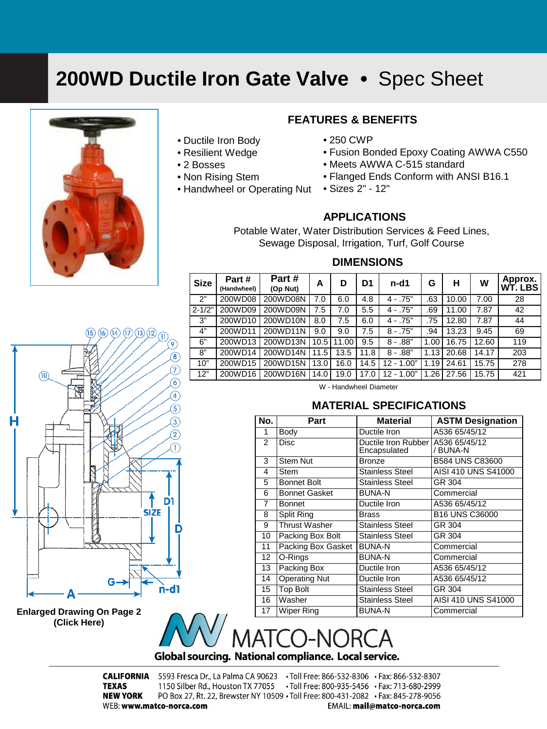### <span id="page-0-0"></span>**200WD Ductile Iron Gate Valve •** Spec Sheet



#### • Ductile Iron Body

- Resilient Wedge
- 2 Bosses
- Non Rising Stem
- Handwheel or Operating Nut

#### **FEATURES & BENEFITS**

- 250 CWP
- Fusion Bonded Epoxy Coating AWWA C550
- Meets AWWA C-515 standard
- Flanged Ends Conform with ANSI B16.1
- Sizes 2" 12"

#### **APPLICATIONS**

Potable Water, Water Distribution Services & Feed Lines, Sewage Disposal, Irrigation, Turf, Golf Course

#### **DIMENSIONS**

| <b>Size</b> | Part#<br>(Handwheel) | Part#<br>(Op Nut) | A     | D     | D1   | n-d1         | G         | н     | W     | Approx.<br><b>WT. LBS</b> |
|-------------|----------------------|-------------------|-------|-------|------|--------------|-----------|-------|-------|---------------------------|
| 2"          | 200WD08              | 200WD08N          | 7.0   | 6.0   | 4.8  | $4 - .75"$   | .63       | 10.00 | 7.00  | 28                        |
| $2 - 1/2"$  | 200WD09              | 200WD09N          | 7.5   | 7.0   | 5.5  | $4 - .75"$   | .69       | 11.00 | 7.87  | 42                        |
| 3"          | 200WD10              | 200WD10N          | 8.0   | 7.5   | 6.0  | $4 - .75"$   | .75       | 12.80 | 7.87  | 44                        |
| 4"          | 200WD11              | 200WD11N          | 9.0   | 9.0   | 7.5  | $8 - .75"$   | .94       | 13.23 | 9.45  | 69                        |
| 6"          | 200WD13              | 200WD13N          | 10.51 | 11.00 | 9.5  | $8 - .88"$   | 1.00      | 16.75 | 12.60 | 119                       |
| 8"          | 200WD14              | 200WD14N          | 11.5  | 13.5  | 11.8 | $8 - .88"$   | 1.13      | 20.68 | 14.17 | 203                       |
| 10"         | 200WD15              | 200WD15N          | 13.0  | 16.0  | 14.5 | $12 - 1.00"$ | .19<br>1. | 24.61 | 15.75 | 278                       |
| 12"         | 200WD16              | 200WD16N          | 14.0  | 19.0  | 17.0 | $12 - 1.00"$ | .26       | 27.56 | 15.75 | 421                       |

W - Handwheel Diameter

#### **MATERIAL SPECIFICATIONS**

| No. | Part                 | <b>Material</b>                     | <b>ASTM Designation</b>   |  |  |
|-----|----------------------|-------------------------------------|---------------------------|--|--|
| 1   | Body                 | Ductile Iron                        | A536 65/45/12             |  |  |
| 2   | <b>Disc</b>          | Ductile Iron Rubber<br>Encapsulated | A536 65/45/12<br>/ BUNA-N |  |  |
| 3   | <b>Stem Nut</b>      | <b>Bronze</b>                       | B584 UNS C83600           |  |  |
| 4   | Stem                 | <b>Stainless Steel</b>              | AISI 410 UNS S41000       |  |  |
| 5   | <b>Bonnet Bolt</b>   | <b>Stainless Steel</b>              | GR 304                    |  |  |
| 6   | <b>Bonnet Gasket</b> | <b>BUNA-N</b>                       | Commercial                |  |  |
| 7   | <b>Bonnet</b>        | Ductile Iron                        | A536 65/45/12             |  |  |
| 8   | <b>Split Ring</b>    | <b>Brass</b>                        | B16 UNS C36000            |  |  |
| 9   | Thrust Washer        | <b>Stainless Steel</b>              | GR 304                    |  |  |
| 10  | Packing Box Bolt     | <b>Stainless Steel</b>              | GR 304                    |  |  |
| 11  | Packing Box Gasket   | <b>BUNA-N</b>                       | Commercial                |  |  |
| 12  | O-Rings              | <b>BUNA-N</b>                       | Commercial                |  |  |
| 13  | Packing Box          | Ductile Iron                        | A536 65/45/12             |  |  |
| 14  | <b>Operating Nut</b> | Ductile Iron                        | A536 65/45/12             |  |  |
| 15  | <b>Top Bolt</b>      | <b>Stainless Steel</b>              | GR 304                    |  |  |
| 16  | Washer               | <b>Stainless Steel</b>              | AISI 410 UNS S41000       |  |  |
| 17  | <b>Wiper Ring</b>    | <b>BUNA-N</b>                       | Commercial                |  |  |



**[Enlarged Drawing On Page 2](#page-1-0)  (Click Here)**



**CALIFORNIA** 5593 Fresca Dr., La Palma CA 90623 . Toll Free: 866-532-8306 . Fax: 866-532-8307 **TEXAS** 1150 Silber Rd., Houston TX 77055 . Toll Free: 800-935-5456 . Fax: 713-680-2999 PO Box 27, Rt. 22, Brewster NY 10509 · Toll Free: 800-431-2082 · Fax: 845-278-9056 **NEW YORK** WEB: www.matco-norca.com EMAIL: mail@matco-norca.com

# $\circledast$

จิ

 $(15)(16)(14)(17)(13)(12)$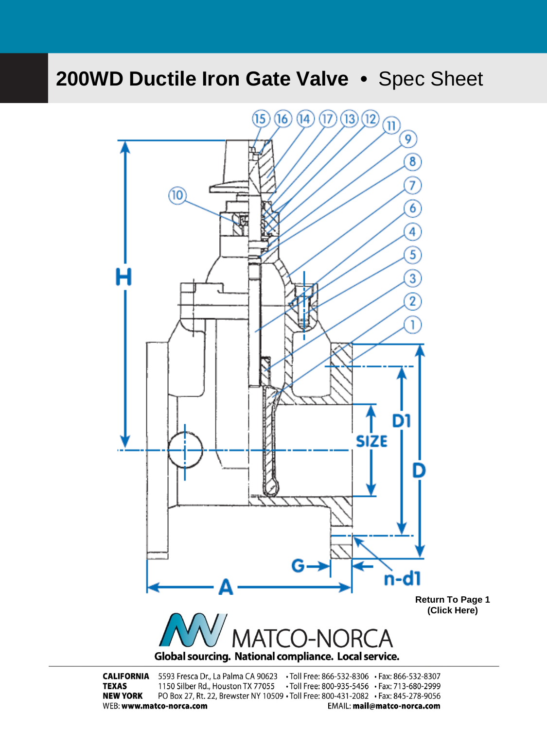# <span id="page-1-0"></span>**200WD Ductile Iron Gate Valve •** Spec Sheet



**CALIFORNIA** 5593 Fresca Dr., La Palma CA 90623 . Toll Free: 866-532-8306 . Fax: 866-532-8307 **TEXAS** 1150 Silber Rd., Houston TX 77055 . Toll Free: 800-935-5456 . Fax: 713-680-2999 **NEW YORK** PO Box 27, Rt. 22, Brewster NY 10509 · Toll Free: 800-431-2082 · Fax: 845-278-9056 WEB: www.matco-norca.com EMAIL: mail@matco-norca.com